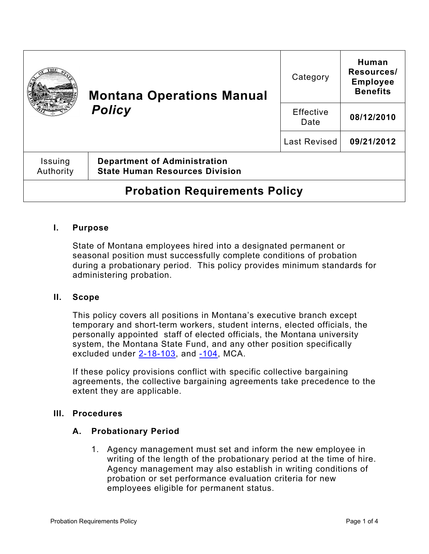|                                      | <b>Montana Operations Manual</b><br><b>Policy</b>                            | Category                 | Human<br>Resources/<br><b>Employee</b><br><b>Benefits</b> |
|--------------------------------------|------------------------------------------------------------------------------|--------------------------|-----------------------------------------------------------|
|                                      |                                                                              | <b>Effective</b><br>Date | 08/12/2010                                                |
|                                      |                                                                              | Last Revised             | 09/21/2012                                                |
| Issuing<br>Authority                 | <b>Department of Administration</b><br><b>State Human Resources Division</b> |                          |                                                           |
| <b>Probation Requirements Policy</b> |                                                                              |                          |                                                           |

# **I. Purpose**

State of Montana employees hired into a designated permanent or seasonal position must successfully complete conditions of probation during a probationary period. This policy provides minimum standards for administering probation.

### **II. Scope**

This policy covers all positions in Montana's executive branch except temporary and short-term workers, student interns, elected officials, the personally appointed staff of elected officials, the Montana university system, the Montana State Fund, and any other position specifically excluded under  $2-18-103$ , and  $-104$ , MCA.

If these policy provisions conflict with specific collective bargaining agreements, the collective bargaining agreements take precedence to the extent they are applicable.

#### **III. Procedures**

### **A. Probationary Period**

1. Agency management must set and inform the new employee in writing of the length of the probationary period at the time of hire. Agency management may also establish in writing conditions of probation or set performance evaluation criteria for new employees eligible for permanent status.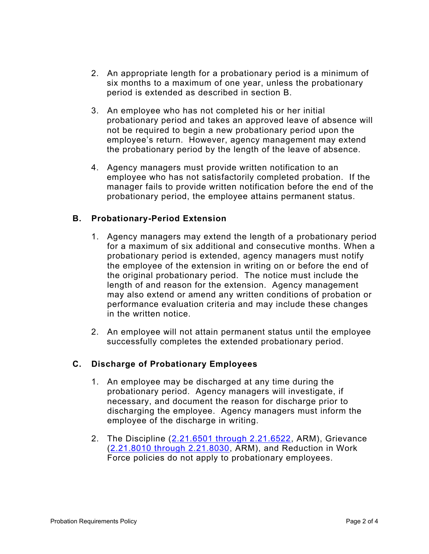- 2. An appropriate length for a probationary period is a minimum of six months to a maximum of one year, unless the probationary period is extended as described in section B.
- 3. An employee who has not completed his or her initial probationary period and takes an approved leave of absence will not be required to begin a new probationary period upon the employee's return. However, agency management may extend the probationary period by the length of the leave of absence.
- 4. Agency managers must provide written notification to an employee who has not satisfactorily completed probation. If the manager fails to provide written notification before the end of the probationary period, the employee attains permanent status.

# **B. Probationary-Period Extension**

- 1. Agency managers may extend the length of a probationary period for a maximum of six additional and consecutive months. When a probationary period is extended, agency managers must notify the employee of the extension in writing on or before the end of the original probationary period. The notice must include the length of and reason for the extension. Agency management may also extend or amend any written conditions of probation or performance evaluation criteria and may include these changes in the written notice.
- 2. An employee will not attain permanent status until the employee successfully completes the extended probationary period.

# **C. Discharge of Probationary Employees**

- 1. An employee may be discharged at any time during the probationary period. Agency managers will investigate, if necessary, and document the reason for discharge prior to discharging the employee. Agency managers must inform the employee of the discharge in writing.
- 2. The Discipline [\(2.21.6501 through 2.21.6522,](http://www.mtrules.org/gateway/Subchapterhome.asp?scn=2%2E21.65) ARM), Grievance [\(2.21.8010 through 2.21.8030,](http://www.mtrules.org/gateway/Subchapterhome.asp?scn=2%2E21.80) ARM), and Reduction in Work Force policies do not apply to probationary employees.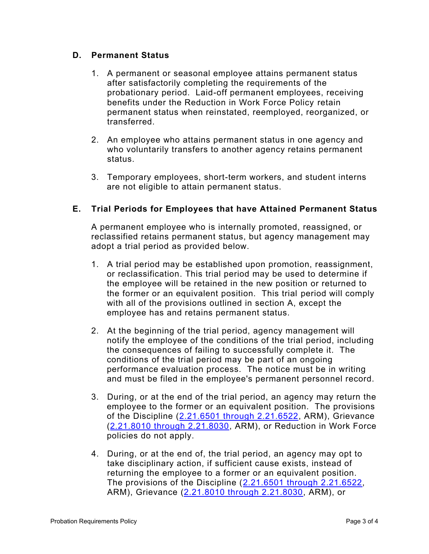# **D. Permanent Status**

- 1. A permanent or seasonal employee attains permanent status after satisfactorily completing the requirements of the probationary period. Laid-off permanent employees, receiving benefits under the Reduction in Work Force Policy retain permanent status when reinstated, reemployed, reorganized, or transferred.
- 2. An employee who attains permanent status in one agency and who voluntarily transfers to another agency retains permanent status.
- 3. Temporary employees, short-term workers, and student interns are not eligible to attain permanent status.

# **E. Trial Periods for Employees that have Attained Permanent Status**

A permanent employee who is internally promoted, reassigned, or reclassified retains permanent status, but agency management may adopt a trial period as provided below.

- 1. A trial period may be established upon promotion, reassignment, or reclassification. This trial period may be used to determine if the employee will be retained in the new position or returned to the former or an equivalent position. This trial period will comply with all of the provisions outlined in section A, except the employee has and retains permanent status.
- 2. At the beginning of the trial period, agency management will notify the employee of the conditions of the trial period, including the consequences of failing to successfully complete it. The conditions of the trial period may be part of an ongoing performance evaluation process. The notice must be in writing and must be filed in the employee's permanent personnel record.
- 3. During, or at the end of the trial period, an agency may return the employee to the former or an equivalent position. The provisions of the Discipline [\(2.21.6501 through 2.21.6522,](http://www.mtrules.org/gateway/Subchapterhome.asp?scn=2%2E21.65) ARM), Grievance [\(2.21.8010 through 2.21.8030,](http://www.mtrules.org/gateway/Subchapterhome.asp?scn=2%2E21.80) ARM), or Reduction in Work Force policies do not apply.
- 4. During, or at the end of, the trial period, an agency may opt to take disciplinary action, if sufficient cause exists, instead of returning the employee to a former or an equivalent position. The provisions of the Discipline [\(2.21.6501 through 2.21.6522,](http://www.mtrules.org/gateway/Subchapterhome.asp?scn=2%2E21.65) ARM), Grievance [\(2.21.8010 through 2.21.8030,](http://www.mtrules.org/gateway/Subchapterhome.asp?scn=2%2E21.80) ARM), or